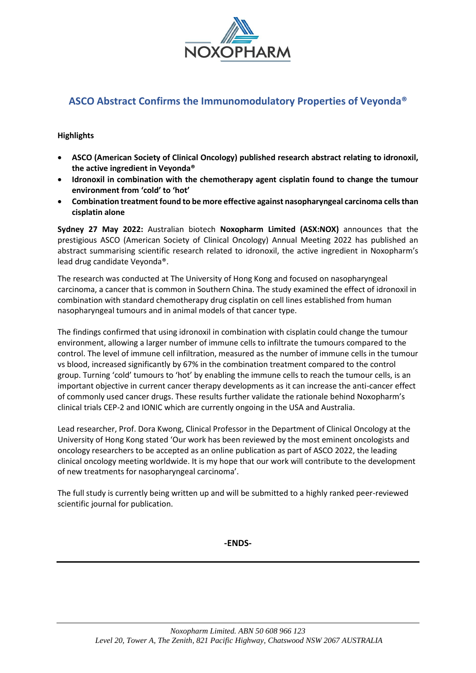

# **ASCO Abstract Confirms the Immunomodulatory Properties of Veyonda®**

## **Highlights**

- **ASCO (American Society of Clinical Oncology) published research abstract relating to idronoxil, the active ingredient in Veyonda®**
- **Idronoxil in combination with the chemotherapy agent cisplatin found to change the tumour environment from 'cold' to 'hot'**
- **Combination treatment found to be more effective against nasopharyngeal carcinoma cells than cisplatin alone**

**Sydney 27 May 2022:** Australian biotech **Noxopharm Limited (ASX:NOX)** announces that the prestigious ASCO (American Society of Clinical Oncology) Annual Meeting 2022 has published an abstract summarising scientific research related to idronoxil, the active ingredient in Noxopharm's lead drug candidate Veyonda®.

The research was conducted at The University of Hong Kong and focused on nasopharyngeal carcinoma, a cancer that is common in Southern China. The study examined the effect of idronoxil in combination with standard chemotherapy drug cisplatin on cell lines established from human nasopharyngeal tumours and in animal models of that cancer type.

The findings confirmed that using idronoxil in combination with cisplatin could change the tumour environment, allowing a larger number of immune cells to infiltrate the tumours compared to the control. The level of immune cell infiltration, measured as the number of immune cells in the tumour vs blood, increased significantly by 67% in the combination treatment compared to the control group. Turning 'cold' tumours to 'hot' by enabling the immune cells to reach the tumour cells, is an important objective in current cancer therapy developments as it can increase the anti-cancer effect of commonly used cancer drugs. These results further validate the rationale behind Noxopharm's clinical trials CEP-2 and IONIC which are currently ongoing in the USA and Australia.

Lead researcher, Prof. Dora Kwong, Clinical Professor in the Department of Clinical Oncology at the University of Hong Kong stated 'Our work has been reviewed by the most eminent oncologists and oncology researchers to be accepted as an online publication as part of ASCO 2022, the leading clinical oncology meeting worldwide. It is my hope that our work will contribute to the development of new treatments for nasopharyngeal carcinoma'.

The full study is currently being written up and will be submitted to a highly ranked peer-reviewed scientific journal for publication.

**-ENDS-**